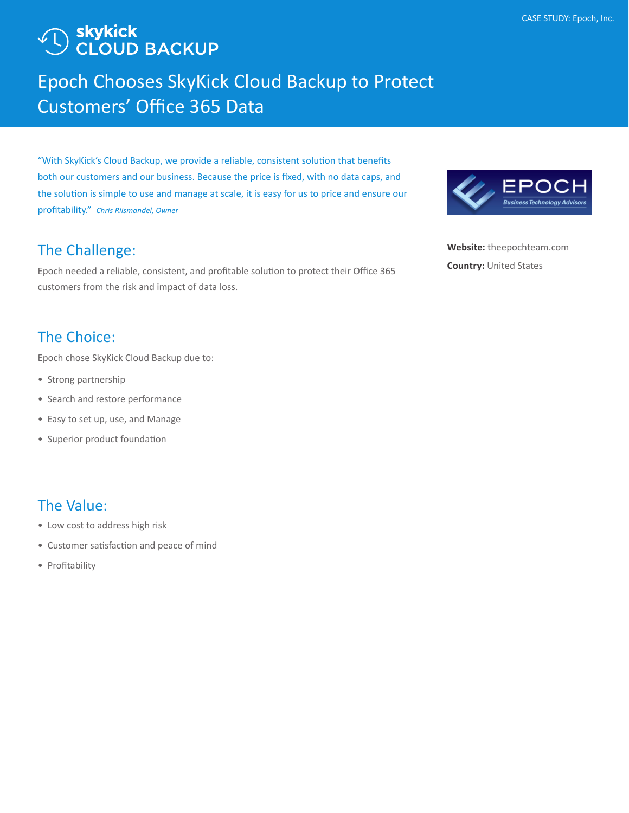# ) <mark>skykick</mark><br>) CLOUD BACKUP

## Epoch Chooses SkyKick Cloud Backup to Protect Customers' Office 365 Data

"With SkyKick's Cloud Backup, we provide a reliable, consistent solution that benefits both our customers and our business. Because the price is fixed, with no data caps, and the solution is simple to use and manage at scale, it is easy for us to price and ensure our profitability." *Chris Riismandel, Owner*

## The Challenge:

Epoch needed a reliable, consistent, and profitable solution to protect their Office 365 customers from the risk and impact of data loss.

## The Choice:

Epoch chose SkyKick Cloud Backup due to:

- Strong partnership
- Search and restore performance
- Easy to set up, use, and Manage
- Superior product foundation

### The Value:

- Low cost to address high risk
- Customer satisfaction and peace of mind
- Profitability



**Website:** [theepochteam.com]( http://theepochteam.com) **Country:** United States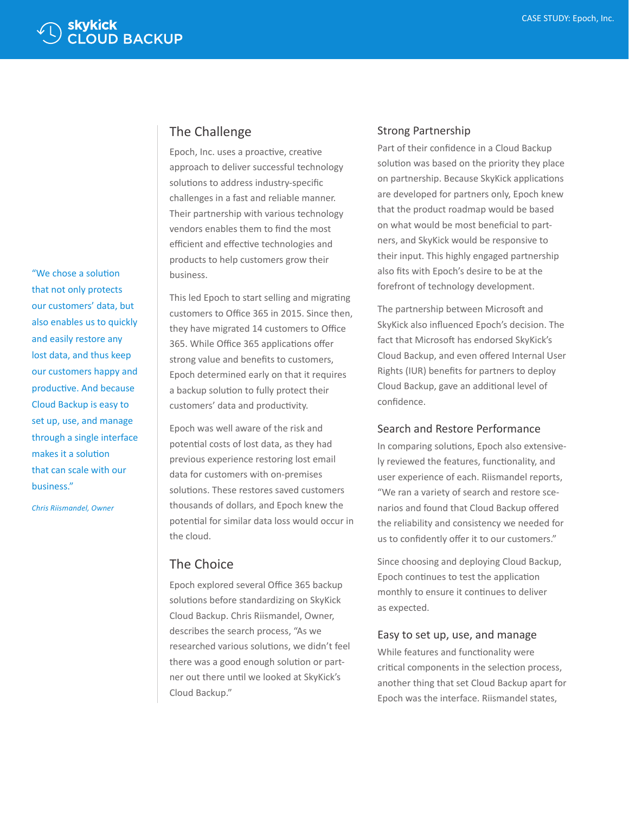"We chose a solution that not only protects our customers' data, but also enables us to quickly and easily restore any lost data, and thus keep our customers happy and productive. And because Cloud Backup is easy to set up, use, and manage through a single interface makes it a solution that can scale with our business."

*Chris Riismandel, Owner*

#### The Challenge

Epoch, Inc. uses a proactive, creative approach to deliver successful technology solutions to address industry-specific challenges in a fast and reliable manner. Their partnership with various technology vendors enables them to find the most efficient and effective technologies and products to help customers grow their business.

This led Epoch to start selling and migrating customers to Office 365 in 2015. Since then, they have migrated 14 customers to Office 365. While Office 365 applications offer strong value and benefits to customers, Epoch determined early on that it requires a backup solution to fully protect their customers' data and productivity.

Epoch was well aware of the risk and potential costs of lost data, as they had previous experience restoring lost email data for customers with on-premises solutions. These restores saved customers thousands of dollars, and Epoch knew the potential for similar data loss would occur in the cloud.

#### The Choice

Epoch explored several Office 365 backup solutions before standardizing on SkyKick Cloud Backup. Chris Riismandel, Owner, describes the search process, "As we researched various solutions, we didn't feel there was a good enough solution or partner out there until we looked at SkyKick's Cloud Backup."

#### Strong Partnership

Part of their confidence in a Cloud Backup solution was based on the priority they place on partnership. Because SkyKick applications are developed for partners only, Epoch knew that the product roadmap would be based on what would be most beneficial to partners, and SkyKick would be responsive to their input. This highly engaged partnership also fits with Epoch's desire to be at the forefront of technology development.

The partnership between Microsoft and SkyKick also influenced Epoch's decision. The fact that Microsoft has endorsed SkyKick's Cloud Backup, and even offered Internal User Rights (IUR) benefits for partners to deploy Cloud Backup, gave an additional level of confidence.

#### Search and Restore Performance

In comparing solutions, Epoch also extensively reviewed the features, functionality, and user experience of each. Riismandel reports, "We ran a variety of search and restore scenarios and found that Cloud Backup offered the reliability and consistency we needed for us to confidently offer it to our customers."

Since choosing and deploying Cloud Backup, Epoch continues to test the application monthly to ensure it continues to deliver as expected.

#### Easy to set up, use, and manage

While features and functionality were critical components in the selection process, another thing that set Cloud Backup apart for Epoch was the interface. Riismandel states,